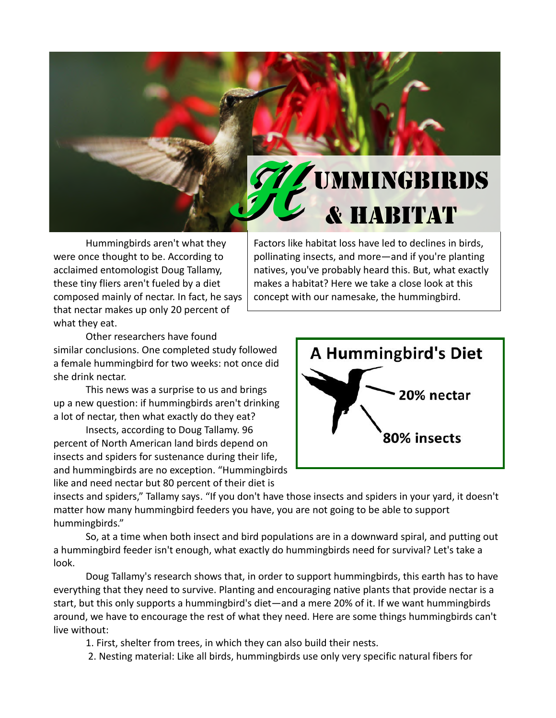

Hummingbirds aren't what they were once thought to be. According to acclaimed entomologist Doug Tallamy, these tiny fliers aren't fueled by a diet composed mainly of nectar. In fact, he says that nectar makes up only 20 percent of what they eat.

Factors like habitat loss have led to declines in birds, pollinating insects, and more—and if you're planting natives, you've probably heard this. But, what exactly makes a habitat? Here we take a close look at this concept with our namesake, the hummingbird.

Other researchers have found similar conclusions. One completed study followed a female hummingbird for two weeks: not once did she drink nectar.

This news was a surprise to us and brings up a new question: if hummingbirds aren't drinking a lot of nectar, then what exactly do they eat?

Insects, according to Doug Tallamy. 96 percent of North American land birds depend on insects and spiders for sustenance during their life, and hummingbirds are no exception. "Hummingbirds like and need nectar but 80 percent of their diet is



insects and spiders," Tallamy says. "If you don't have those insects and spiders in your yard, it doesn't matter how many hummingbird feeders you have, you are not going to be able to support hummingbirds."

So, at a time when both insect and bird populations are in a downward spiral, and putting out a hummingbird feeder isn't enough, what exactly do hummingbirds need for survival? Let's take a look.

Doug Tallamy's research shows that, in order to support hummingbirds, this earth has to have everything that they need to survive. Planting and encouraging native plants that provide nectar is a start, but this only supports a hummingbird's diet—and a mere 20% of it. If we want hummingbirds around, we have to encourage the rest of what they need. Here are some things hummingbirds can't live without:

1. First, shelter from trees, in which they can also build their nests.

2. Nesting material: Like all birds, hummingbirds use only very specific natural fibers for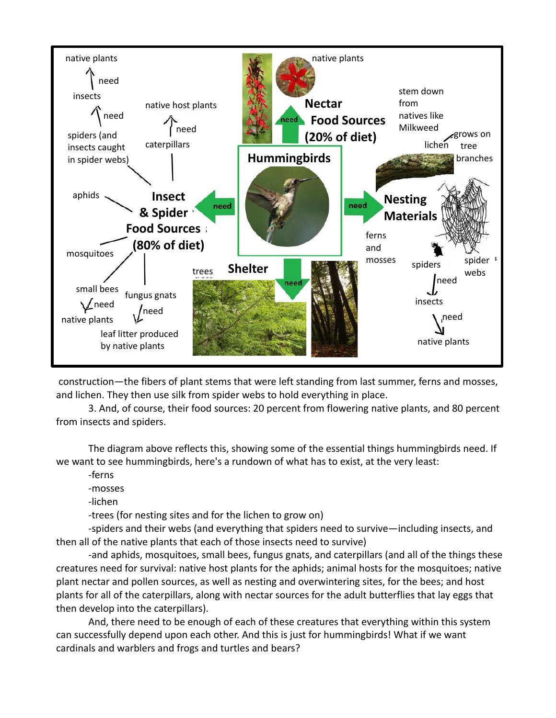

construction—the fibers of plant stems that were left standing from last summer, ferns and mosses, and lichen. They then use silk from spider webs to hold everything in place.

3. And, of course, their food sources: 20 percent from flowering native plants, and 80 percent from insects and spiders.

The diagram above reflects this, showing some of the essential things hummingbirds need. If we want to see hummingbirds, here's a rundown of what has to exist, at the very least:

-ferns

-mosses

-lichen

-trees (for nesting sites and for the lichen to grow on)

-spiders and their webs (and everything that spiders need to survive—including insects, and then all of the native plants that each of those insects need to survive)

-and aphids, mosquitoes, small bees, fungus gnats, and caterpillars (and all of the things these creatures need for survival: native host plants for the aphids; animal hosts for the mosquitoes; native plant nectar and pollen sources, as well as nesting and overwintering sites, for the bees; and host plants for all of the caterpillars, along with nectar sources for the adult butterflies that lay eggs that then develop into the caterpillars).

And, there need to be enough of each of these creatures that everything within this system can successfully depend upon each other. And this is just for hummingbirds! What if we want cardinals and warblers and frogs and turtles and bears?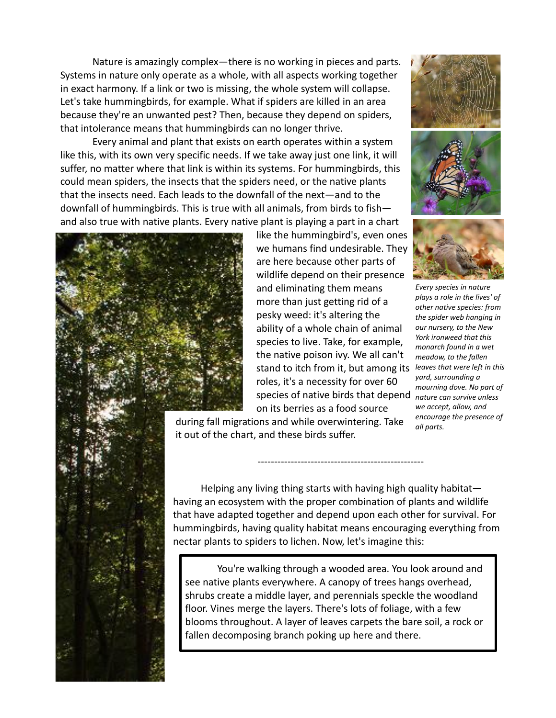Nature is amazingly complex—there is no working in pieces and parts. Systems in nature only operate as a whole, with all aspects working together in exact harmony. If a link or two is missing, the whole system will collapse. Let's take hummingbirds, for example. What if spiders are killed in an area because they're an unwanted pest? Then, because they depend on spiders, that intolerance means that hummingbirds can no longer thrive.

Every animal and plant that exists on earth operates within a system like this, with its own very specific needs. If we take away just one link, it will suffer, no matter where that link is within its systems. For hummingbirds, this could mean spiders, the insects that the spiders need, or the native plants that the insects need. Each leads to the downfall of the next—and to the downfall of hummingbirds. This is true with all animals, from birds to fish and also true with native plants. Every native plant is playing a part in a chart



like the hummingbird's, even ones we humans find undesirable. They are here because other parts of wildlife depend on their presence and eliminating them means more than just getting rid of a pesky weed: it's altering the ability of a whole chain of animal species to live. Take, for example, the native poison ivy. We all can't stand to itch from it, but among its roles, it's a necessity for over 60 species of native birds that depend *nature can survive unless*  on its berries as a food source

 during fall migrations and while overwintering. Take it out of the chart, and these birds suffer.







*Every species in nature plays a role in the lives' of other native species: from the spider web hanging in our nursery, to the New York ironweed that this monarch found in a wet meadow, to the fallen leaves that were left in this yard, surrounding a mourning dove. No part of we accept, allow, and encourage the presence of all parts.*

 Helping any living thing starts with having high quality habitat having an ecosystem with the proper combination of plants and wildlife that have adapted together and depend upon each other for survival. For hummingbirds, having quality habitat means encouraging everything from nectar plants to spiders to lichen. Now, let's imagine this:

You're walking through a wooded area. You look around and see native plants everywhere. A canopy of trees hangs overhead, shrubs create a middle layer, and perennials speckle the woodland floor. Vines merge the layers. There's lots of foliage, with a few blooms throughout. A layer of leaves carpets the bare soil, a rock or fallen decomposing branch poking up here and there.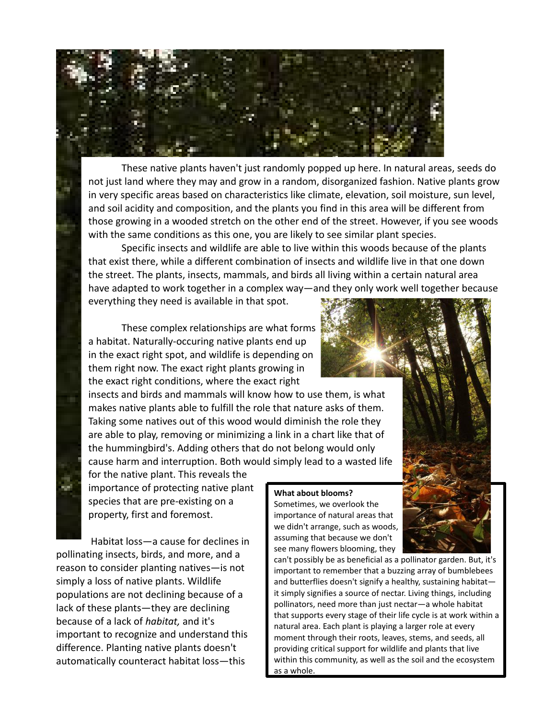

These native plants haven't just randomly popped up here. In natural areas, seeds do not just land where they may and grow in a random, disorganized fashion. Native plants grow in very specific areas based on characteristics like climate, elevation, soil moisture, sun level, and soil acidity and composition, and the plants you find in this area will be different from those growing in a wooded stretch on the other end of the street. However, if you see woods with the same conditions as this one, you are likely to see similar plant species.

 Specific insects and wildlife are able to live within this woods because of the plants that exist there, while a different combination of insects and wildlife live in that one down the street. The plants, insects, mammals, and birds all living within a certain natural area have adapted to work together in a complex way—and they only work well together because everything they need is available in that spot.

These complex relationships are what forms a habitat. Naturally-occuring native plants end up in the exact right spot, and wildlife is depending on them right now. The exact right plants growing in the exact right conditions, where the exact right

insects and birds and mammals will know how to use them, is what makes native plants able to fulfill the role that nature asks of them. Taking some natives out of this wood would diminish the role they are able to play, removing or minimizing a link in a chart like that of the hummingbird's. Adding others that do not belong would only cause harm and interruption. Both would simply lead to a wasted life

for the native plant. This reveals the importance of protecting native plant species that are pre-existing on a property, first and foremost.

w.

Habitat loss—a cause for declines in pollinating insects, birds, and more, and a reason to consider planting natives—is not simply a loss of native plants. Wildlife populations are not declining because of a lack of these plants—they are declining because of a lack of *habitat,* and it's important to recognize and understand this difference. Planting native plants doesn't automatically counteract habitat loss—this

## **What about blooms?**

Sometimes, we overlook the importance of natural areas that we didn't arrange, such as woods, assuming that because we don't see many flowers blooming, they



can't possibly be as beneficial as a pollinator garden. But, it's important to remember that a buzzing array of bumblebees and butterflies doesn't signify a healthy, sustaining habitat it simply signifies a source of nectar. Living things, including pollinators, need more than just nectar—a whole habitat that supports every stage of their life cycle is at work within a natural area. Each plant is playing a larger role at every moment through their roots, leaves, stems, and seeds, all providing critical support for wildlife and plants that live within this community, as well as the soil and the ecosystem as a whole.

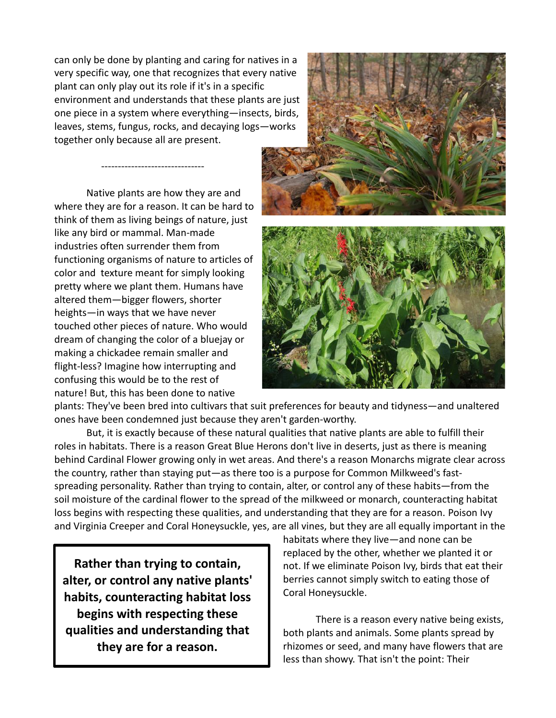can only be done by planting and caring for natives in a very specific way, one that recognizes that every native plant can only play out its role if it's in a specific environment and understands that these plants are just one piece in a system where everything—insects, birds, leaves, stems, fungus, rocks, and decaying logs—works together only because all are present.

Native plants are how they are and where they are for a reason. It can be hard to think of them as living beings of nature, just like any bird or mammal. Man-made industries often surrender them from functioning organisms of nature to articles of color and texture meant for simply looking pretty where we plant them. Humans have altered them—bigger flowers, shorter heights—in ways that we have never touched other pieces of nature. Who would dream of changing the color of a bluejay or making a chickadee remain smaller and flight-less? Imagine how interrupting and confusing this would be to the rest of nature! But, this has been done to native

-------------------------------



plants: They've been bred into cultivars that suit preferences for beauty and tidyness—and unaltered ones have been condemned just because they aren't garden-worthy.

But, it is exactly because of these natural qualities that native plants are able to fulfill their roles in habitats. There is a reason Great Blue Herons don't live in deserts, just as there is meaning behind Cardinal Flower growing only in wet areas. And there's a reason Monarchs migrate clear across the country, rather than staying put—as there too is a purpose for Common Milkweed's fastspreading personality. Rather than trying to contain, alter, or control any of these habits—from the soil moisture of the cardinal flower to the spread of the milkweed or monarch, counteracting habitat loss begins with respecting these qualities, and understanding that they are for a reason. Poison Ivy and Virginia Creeper and Coral Honeysuckle, yes, are all vines, but they are all equally important in the

**Rather than trying to contain, alter, or control any native plants' habits, counteracting habitat loss begins with respecting these qualities and understanding that they are for a reason.**

habitats where they live—and none can be replaced by the other, whether we planted it or not. If we eliminate Poison Ivy, birds that eat their berries cannot simply switch to eating those of Coral Honeysuckle.

There is a reason every native being exists, both plants and animals. Some plants spread by rhizomes or seed, and many have flowers that are less than showy. That isn't the point: Their